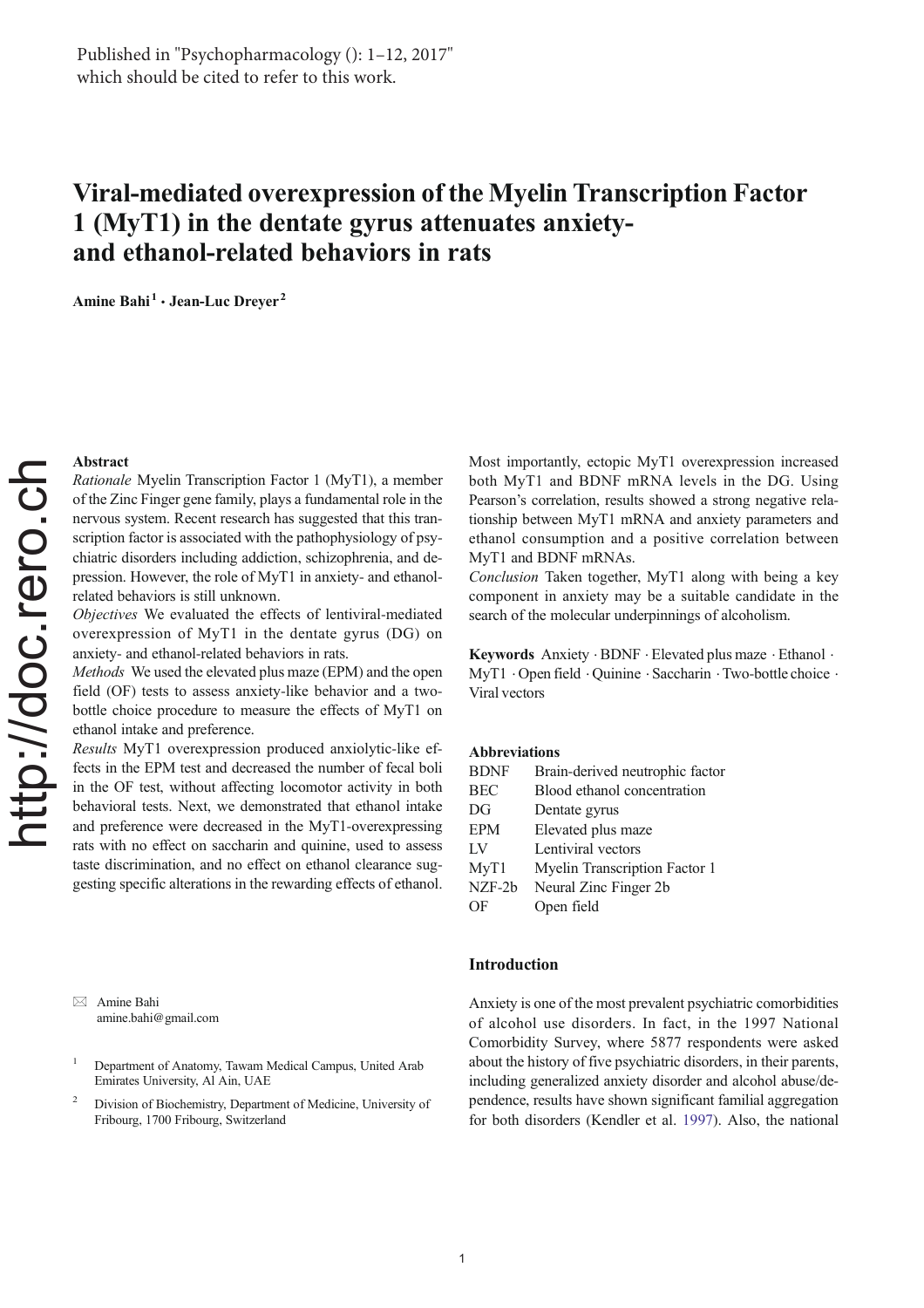# Viral-mediated overexpression of the Myelin Transcription Factor 1 (MyT1) in the dentate gyrus attenuates anxietyand ethanol-related behaviors in rats

Amine Bahi<sup>1</sup> · Jean-Luc Dreyer<sup>2</sup>

#### Abstract

Rationale Myelin Transcription Factor 1 (MyT1), a member of the Zinc Finger gene family, plays a fundamental role in the nervous system. Recent research has suggested that this transcription factor is associated with the pathophysiology of psychiatric disorders including addiction, schizophrenia, and depression. However, the role of MyT1 in anxiety- and ethanolrelated behaviors is still unknown.

Objectives We evaluated the effects of lentiviral-mediated overexpression of MyT1 in the dentate gyrus (DG) on anxiety- and ethanol-related behaviors in rats.

Methods We used the elevated plus maze (EPM) and the open field (OF) tests to assess anxiety-like behavior and a twobottle choice procedure to measure the effects of MyT1 on ethanol intake and preference.

Results MyT1 overexpression produced anxiolytic-like effects in the EPM test and decreased the number of fecal boli in the OF test, without affecting locomotor activity in both behavioral tests. Next, we demonstrated that ethanol intake and preference were decreased in the MyT1-overexpressing rats with no effect on saccharin and quinine, used to assess taste discrimination, and no effect on ethanol clearance suggesting specific alterations in the rewarding effects of ethanol.

 $\boxtimes$  Amine Bahi amine.bahi@gmail.com

- <sup>1</sup> Department of Anatomy, Tawam Medical Campus, United Arab Emirates University, Al Ain, UAE
- <sup>2</sup> Division of Biochemistry, Department of Medicine, University of Fribourg, 1700 Fribourg, Switzerland

Most importantly, ectopic MyT1 overexpression increased both MyT1 and BDNF mRNA levels in the DG. Using Pearson's correlation, results showed a strong negative relationship between MyT1 mRNA and anxiety parameters and ethanol consumption and a positive correlation between MyT1 and BDNF mRNAs.

Conclusion Taken together, MyT1 along with being a key component in anxiety may be a suitable candidate in the search of the molecular underpinnings of alcoholism.

Keywords Anxiety . BDNF . Elevated plus maze . Ethanol . MyT1  $\cdot$  Open field  $\cdot$  Ouinine  $\cdot$  Saccharin  $\cdot$  Two-bottle choice  $\cdot$ Viral vectors

## Abbreviations

| <b>BDNF</b> | Brain-derived neutrophic factor |
|-------------|---------------------------------|
| <b>BEC</b>  | Blood ethanol concentration     |
| DG          | Dentate gyrus                   |
| <b>EPM</b>  | Elevated plus maze              |
| LV          | Lentiviral vectors              |
| MyT1        | Myelin Transcription Factor 1   |
| NZF-2b      | Neural Zinc Finger 2b           |
| OF          | Open field                      |

## Introduction

Anxiety is one of the most prevalent psychiatric comorbidities of alcohol use disorders. In fact, in the 1997 National Comorbidity Survey, where 5877 respondents were asked about the history of five psychiatric disorders, in their parents, including generalized anxiety disorder and alcohol abuse/dependence, results have shown significant familial aggregation for both disorders (Kendler et al. 1997). Also, the national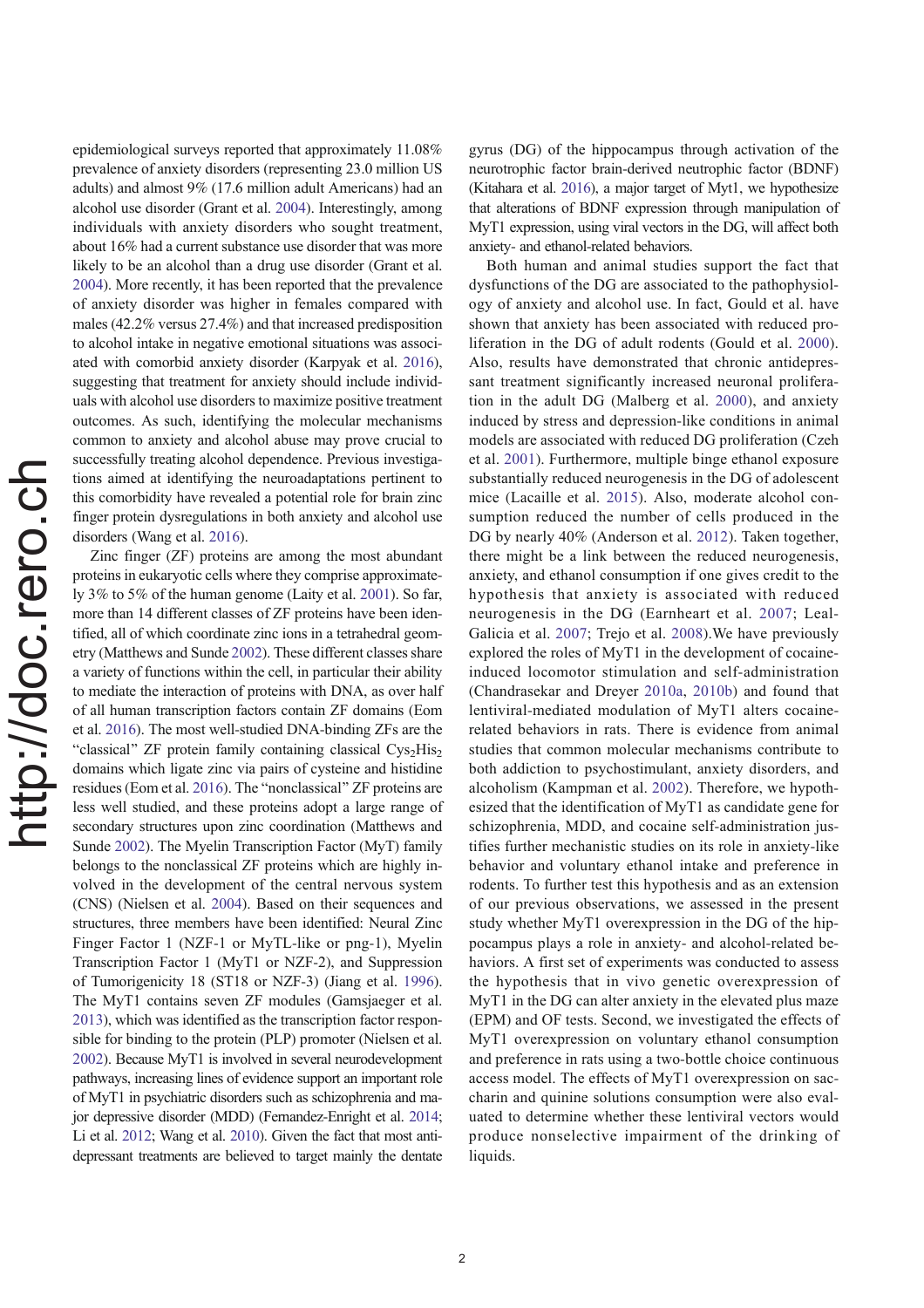epidemiological surveys reported that approximately 11.08% prevalence of anxiety disorders (representing 23.0 million US adults) and almost 9% (17.6 million adult Americans) had an alcohol use disorder (Grant et al. 2004). Interestingly, among individuals with anxiety disorders who sought treatment, about 16% had a current substance use disorder that was more likely to be an alcohol than a drug use disorder (Grant et al. 2004). More recently, it has been reported that the prevalence of anxiety disorder was higher in females compared with males (42.2% versus 27.4%) and that increased predisposition to alcohol intake in negative emotional situations was associated with comorbid anxiety disorder (Karpyak et al. 2016), suggesting that treatment for anxiety should include individuals with alcohol use disorders to maximize positive treatment outcomes. As such, identifying the molecular mechanisms common to anxiety and alcohol abuse may prove crucial to successfully treating alcohol dependence. Previous investigations aimed at identifying the neuroadaptations pertinent to this comorbidity have revealed a potential role for brain zinc finger protein dysregulations in both anxiety and alcohol use disorders (Wang et al. 2016).

Zinc finger (ZF) proteins are among the most abundant proteins in eukaryotic cells where they comprise approximately 3% to 5% of the human genome (Laity et al. 2001). So far, more than 14 different classes of ZF proteins have been identified, all of which coordinate zinc ions in a tetrahedral geometry (Matthews and Sunde 2002). These different classes share a variety of functions within the cell, in particular their ability to mediate the interaction of proteins with DNA, as over half of all human transcription factors contain ZF domains (Eom et al. 2016). The most well-studied DNA-binding ZFs are the "classical" ZF protein family containing classical  $Cys<sub>2</sub>His<sub>2</sub>$ domains which ligate zinc via pairs of cysteine and histidine residues (Eom et al. 2016). The "nonclassical" ZF proteins are less well studied, and these proteins adopt a large range of secondary structures upon zinc coordination (Matthews and Sunde 2002). The Myelin Transcription Factor (MyT) family belongs to the nonclassical ZF proteins which are highly involved in the development of the central nervous system (CNS) (Nielsen et al. 2004). Based on their sequences and structures, three members have been identified: Neural Zinc Finger Factor 1 (NZF-1 or MyTL-like or png-1), Myelin Transcription Factor 1 (MyT1 or NZF-2), and Suppression of Tumorigenicity 18 (ST18 or NZF-3) (Jiang et al. 1996). The MyT1 contains seven ZF modules (Gamsjaeger et al. 2013), which was identified as the transcription factor responsible for binding to the protein (PLP) promoter (Nielsen et al. 2002). Because MyT1 is involved in several neurodevelopment pathways, increasing lines of evidence support an important role of MyT1 in psychiatric disorders such as schizophrenia and major depressive disorder (MDD) (Fernandez-Enright et al. 2014; Li et al. 2012; Wang et al. 2010). Given the fact that most antidepressant treatments are believed to target mainly the dentate

gyrus (DG) of the hippocampus through activation of the neurotrophic factor brain-derived neutrophic factor (BDNF) (Kitahara et al. 2016), a major target of Myt1, we hypothesize that alterations of BDNF expression through manipulation of MyT1 expression, using viral vectors in the DG, will affect both anxiety- and ethanol-related behaviors.

Both human and animal studies support the fact that dysfunctions of the DG are associated to the pathophysiology of anxiety and alcohol use. In fact, Gould et al. have shown that anxiety has been associated with reduced proliferation in the DG of adult rodents (Gould et al. 2000). Also, results have demonstrated that chronic antidepressant treatment significantly increased neuronal proliferation in the adult DG (Malberg et al. 2000), and anxiety induced by stress and depression-like conditions in animal models are associated with reduced DG proliferation (Czeh et al. 2001). Furthermore, multiple binge ethanol exposure substantially reduced neurogenesis in the DG of adolescent mice (Lacaille et al. 2015). Also, moderate alcohol consumption reduced the number of cells produced in the DG by nearly 40% (Anderson et al. 2012). Taken together, there might be a link between the reduced neurogenesis, anxiety, and ethanol consumption if one gives credit to the hypothesis that anxiety is associated with reduced neurogenesis in the DG (Earnheart et al. 2007; Leal-Galicia et al. 2007; Trejo et al. 2008).We have previously explored the roles of MyT1 in the development of cocaineinduced locomotor stimulation and self-administration (Chandrasekar and Dreyer 2010a, 2010b) and found that lentiviral-mediated modulation of MyT1 alters cocainerelated behaviors in rats. There is evidence from animal studies that common molecular mechanisms contribute to both addiction to psychostimulant, anxiety disorders, and alcoholism (Kampman et al. 2002). Therefore, we hypothesized that the identification of MyT1 as candidate gene for schizophrenia, MDD, and cocaine self-administration justifies further mechanistic studies on its role in anxiety-like behavior and voluntary ethanol intake and preference in rodents. To further test this hypothesis and as an extension of our previous observations, we assessed in the present study whether MyT1 overexpression in the DG of the hippocampus plays a role in anxiety- and alcohol-related behaviors. A first set of experiments was conducted to assess the hypothesis that in vivo genetic overexpression of MyT1 in the DG can alter anxiety in the elevated plus maze (EPM) and OF tests. Second, we investigated the effects of MyT1 overexpression on voluntary ethanol consumption and preference in rats using a two-bottle choice continuous access model. The effects of MyT1 overexpression on saccharin and quinine solutions consumption were also evaluated to determine whether these lentiviral vectors would produce nonselective impairment of the drinking of liquids.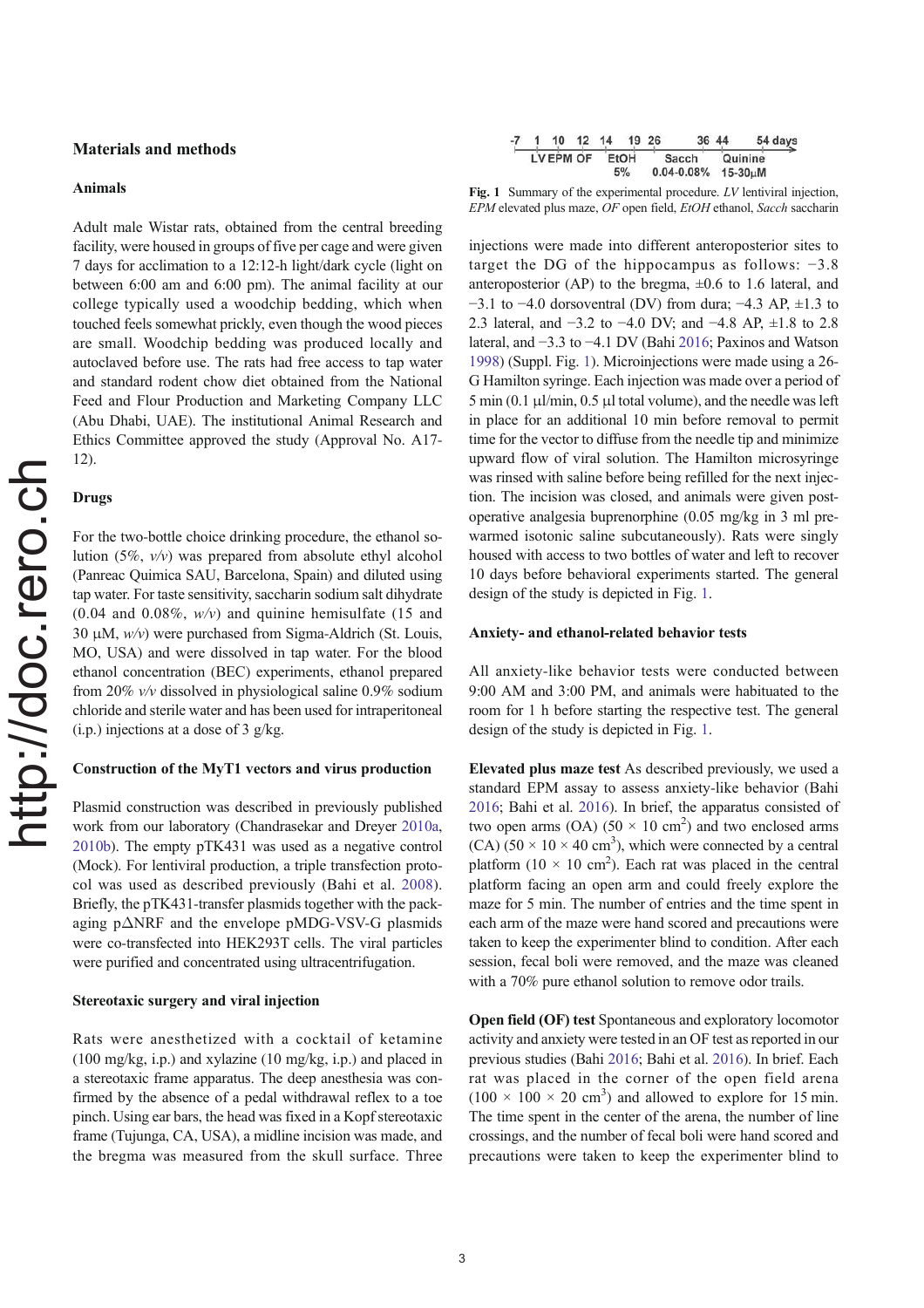# Materials and methods

#### Animals

Adult male Wistar rats, obtained from the central breeding facility, were housed in groups of five per cage and were given 7 days for acclimation to a 12:12-h light/dark cycle (light on between 6:00 am and 6:00 pm). The animal facility at our college typically used a woodchip bedding, which when touched feels somewhat prickly, even though the wood pieces are small. Woodchip bedding was produced locally and autoclaved before use. The rats had free access to tap water and standard rodent chow diet obtained from the National Feed and Flour Production and Marketing Company LLC (Abu Dhabi, UAE). The institutional Animal Research and Ethics Committee approved the study (Approval No. A17- 12).

#### Drugs

For the two-bottle choice drinking procedure, the ethanol solution (5%, v/v) was prepared from absolute ethyl alcohol (Panreac Quimica SAU, Barcelona, Spain) and diluted using tap water. For taste sensitivity, saccharin sodium salt dihydrate  $(0.04$  and  $0.08\%$ ,  $w/v$ ) and quinine hemisulfate (15 and 30 μM,  $w/v$ ) were purchased from Sigma-Aldrich (St. Louis, MO, USA) and were dissolved in tap water. For the blood ethanol concentration (BEC) experiments, ethanol prepared from 20% v/v dissolved in physiological saline 0.9% sodium chloride and sterile water and has been used for intraperitoneal  $(i.p.)$  injections at a dose of 3 g/kg.

### Construction of the MyT1 vectors and virus production

Plasmid construction was described in previously published work from our laboratory (Chandrasekar and Dreyer 2010a, 2010b). The empty pTK431 was used as a negative control (Mock). For lentiviral production, a triple transfection protocol was used as described previously (Bahi et al. 2008). Briefly, the pTK431-transfer plasmids together with the packaging pΔNRF and the envelope pMDG-VSV-G plasmids were co-transfected into HEK293T cells. The viral particles were purified and concentrated using ultracentrifugation.

#### Stereotaxic surgery and viral injection

Rats were anesthetized with a cocktail of ketamine (100 mg/kg, i.p.) and xylazine (10 mg/kg, i.p.) and placed in a stereotaxic frame apparatus. The deep anesthesia was confirmed by the absence of a pedal withdrawal reflex to a toe pinch. Using ear bars, the head was fixed in a Kopf stereotaxic frame (Tujunga, CA, USA), a midline incision was made, and the bregma was measured from the skull surface. Three

|  |           | 10 | 12   | 14 |                | 19 26 |               |  | 36 44 |  | 54 days |
|--|-----------|----|------|----|----------------|-------|---------------|--|-------|--|---------|
|  | LV EPM OF |    | EtOH |    | Sacch          |       | Quinine       |  |       |  |         |
|  |           |    | 5%   |    | $0.04 - 0.08%$ |       | $15-30 \mu M$ |  |       |  |         |

Fig. 1 Summary of the experimental procedure. LV lentiviral injection, EPM elevated plus maze, OF open field, EtOH ethanol, Sacch saccharin

injections were made into different anteroposterior sites to target the DG of the hippocampus as follows: −3.8 anteroposterior (AP) to the bregma,  $\pm 0.6$  to 1.6 lateral, and −3.1 to −4.0 dorsoventral (DV) from dura; −4.3 AP, ±1.3 to 2.3 lateral, and −3.2 to −4.0 DV; and −4.8 AP, ±1.8 to 2.8 lateral, and −3.3 to −4.1 DV (Bahi 2016; Paxinos and Watson 1998) (Suppl. Fig. 1). Microinjections were made using a 26- G Hamilton syringe. Each injection was made over a period of  $5 \text{ min } (0.1 \text{ }\mu\text{l/min}, 0.5 \text{ }\mu\text{l}$  total volume), and the needle was left in place for an additional 10 min before removal to permit time for the vector to diffuse from the needle tip and minimize upward flow of viral solution. The Hamilton microsyringe was rinsed with saline before being refilled for the next injection. The incision was closed, and animals were given postoperative analgesia buprenorphine (0.05 mg/kg in 3 ml prewarmed isotonic saline subcutaneously). Rats were singly housed with access to two bottles of water and left to recover 10 days before behavioral experiments started. The general design of the study is depicted in Fig. 1.

#### Anxiety- and ethanol-related behavior tests

All anxiety-like behavior tests were conducted between 9:00 AM and 3:00 PM, and animals were habituated to the room for 1 h before starting the respective test. The general design of the study is depicted in Fig. 1.

Elevated plus maze test As described previously, we used a standard EPM assay to assess anxiety-like behavior (Bahi 2016; Bahi et al. 2016). In brief, the apparatus consisted of two open arms (OA) (50  $\times$  10 cm<sup>2</sup>) and two enclosed arms  $(CA)$  (50 × 10 × 40 cm<sup>3</sup>), which were connected by a central platform  $(10 \times 10 \text{ cm}^2)$ . Each rat was placed in the central platform facing an open arm and could freely explore the maze for 5 min. The number of entries and the time spent in each arm of the maze were hand scored and precautions were taken to keep the experimenter blind to condition. After each session, fecal boli were removed, and the maze was cleaned with a 70% pure ethanol solution to remove odor trails.

Open field (OF) test Spontaneous and exploratory locomotor activity and anxiety were tested in an OF test as reported in our previous studies (Bahi 2016; Bahi et al. 2016). In brief. Each rat was placed in the corner of the open field arena  $(100 \times 100 \times 20 \text{ cm}^3)$  and allowed to explore for 15 min. The time spent in the center of the arena, the number of line crossings, and the number of fecal boli were hand scored and precautions were taken to keep the experimenter blind to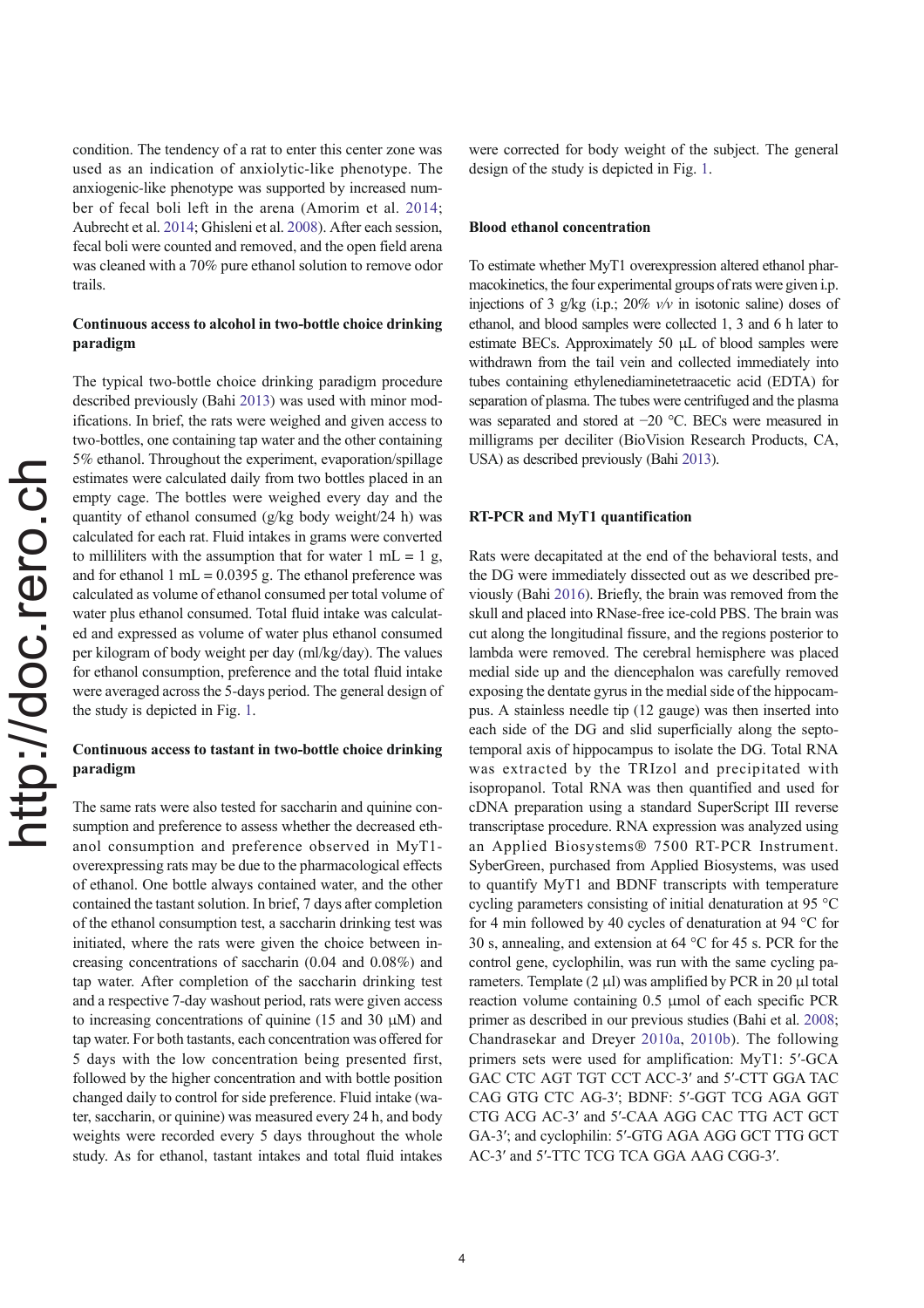condition. The tendency of a rat to enter this center zone was used as an indication of anxiolytic-like phenotype. The anxiogenic-like phenotype was supported by increased number of fecal boli left in the arena (Amorim et al. 2014; Aubrecht et al. 2014; Ghisleni et al. 2008). After each session, fecal boli were counted and removed, and the open field arena was cleaned with a 70% pure ethanol solution to remove odor trails.

# Continuous access to alcohol in two-bottle choice drinking paradigm

The typical two-bottle choice drinking paradigm procedure described previously (Bahi 2013) was used with minor modifications. In brief, the rats were weighed and given access to two-bottles, one containing tap water and the other containing 5% ethanol. Throughout the experiment, evaporation/spillage estimates were calculated daily from two bottles placed in an empty cage. The bottles were weighed every day and the quantity of ethanol consumed (g/kg body weight/24 h) was calculated for each rat. Fluid intakes in grams were converted to milliliters with the assumption that for water  $1 \text{ mL} = 1 \text{ g}$ , and for ethanol 1 mL =  $0.0395$  g. The ethanol preference was calculated as volume of ethanol consumed per total volume of water plus ethanol consumed. Total fluid intake was calculated and expressed as volume of water plus ethanol consumed per kilogram of body weight per day (ml/kg/day). The values for ethanol consumption, preference and the total fluid intake were averaged across the 5-days period. The general design of the study is depicted in Fig. 1.

# Continuous access to tastant in two-bottle choice drinking paradigm

The same rats were also tested for saccharin and quinine consumption and preference to assess whether the decreased ethanol consumption and preference observed in MyT1 overexpressing rats may be due to the pharmacological effects of ethanol. One bottle always contained water, and the other contained the tastant solution. In brief, 7 days after completion of the ethanol consumption test, a saccharin drinking test was initiated, where the rats were given the choice between increasing concentrations of saccharin (0.04 and 0.08%) and tap water. After completion of the saccharin drinking test and a respective 7-day washout period, rats were given access to increasing concentrations of quinine (15 and 30  $\mu$ M) and tap water. For both tastants, each concentration was offered for 5 days with the low concentration being presented first, followed by the higher concentration and with bottle position changed daily to control for side preference. Fluid intake (water, saccharin, or quinine) was measured every 24 h, and body weights were recorded every 5 days throughout the whole study. As for ethanol, tastant intakes and total fluid intakes were corrected for body weight of the subject. The general design of the study is depicted in Fig. 1.

#### Blood ethanol concentration

To estimate whether MyT1 overexpression altered ethanol pharmacokinetics, the four experimental groups of rats were given i.p. injections of 3 g/kg (i.p.;  $20\%$  v/v in isotonic saline) doses of ethanol, and blood samples were collected 1, 3 and 6 h later to estimate BECs. Approximately 50 μL of blood samples were withdrawn from the tail vein and collected immediately into tubes containing ethylenediaminetetraacetic acid (EDTA) for separation of plasma. The tubes were centrifuged and the plasma was separated and stored at −20 °C. BECs were measured in milligrams per deciliter (BioVision Research Products, CA, USA) as described previously (Bahi 2013).

## RT-PCR and MyT1 quantification

Rats were decapitated at the end of the behavioral tests, and the DG were immediately dissected out as we described previously (Bahi 2016). Briefly, the brain was removed from the skull and placed into RNase-free ice-cold PBS. The brain was cut along the longitudinal fissure, and the regions posterior to lambda were removed. The cerebral hemisphere was placed medial side up and the diencephalon was carefully removed exposing the dentate gyrus in the medial side of the hippocampus. A stainless needle tip (12 gauge) was then inserted into each side of the DG and slid superficially along the septotemporal axis of hippocampus to isolate the DG. Total RNA was extracted by the TRIzol and precipitated with isopropanol. Total RNA was then quantified and used for cDNA preparation using a standard SuperScript III reverse transcriptase procedure. RNA expression was analyzed using an Applied Biosystems® 7500 RT-PCR Instrument. SyberGreen, purchased from Applied Biosystems, was used to quantify MyT1 and BDNF transcripts with temperature cycling parameters consisting of initial denaturation at 95 °C for 4 min followed by 40 cycles of denaturation at 94 °C for 30 s, annealing, and extension at 64 °C for 45 s. PCR for the control gene, cyclophilin, was run with the same cycling parameters. Template (2 μl) was amplified by PCR in 20 μl total reaction volume containing 0.5 μmol of each specific PCR primer as described in our previous studies (Bahi et al. 2008; Chandrasekar and Dreyer 2010a, 2010b). The following primers sets were used for amplification: MyT1: 5′-GCA GAC CTC AGT TGT CCT ACC-3′ and 5′-CTT GGA TAC CAG GTG CTC AG-3′; BDNF: 5′-GGT TCG AGA GGT CTG ACG AC-3′ and 5′-CAA AGG CAC TTG ACT GCT GA-3′; and cyclophilin: 5′-GTG AGA AGG GCT TTG GCT AC-3′ and 5′-TTC TCG TCA GGA AAG CGG-3′.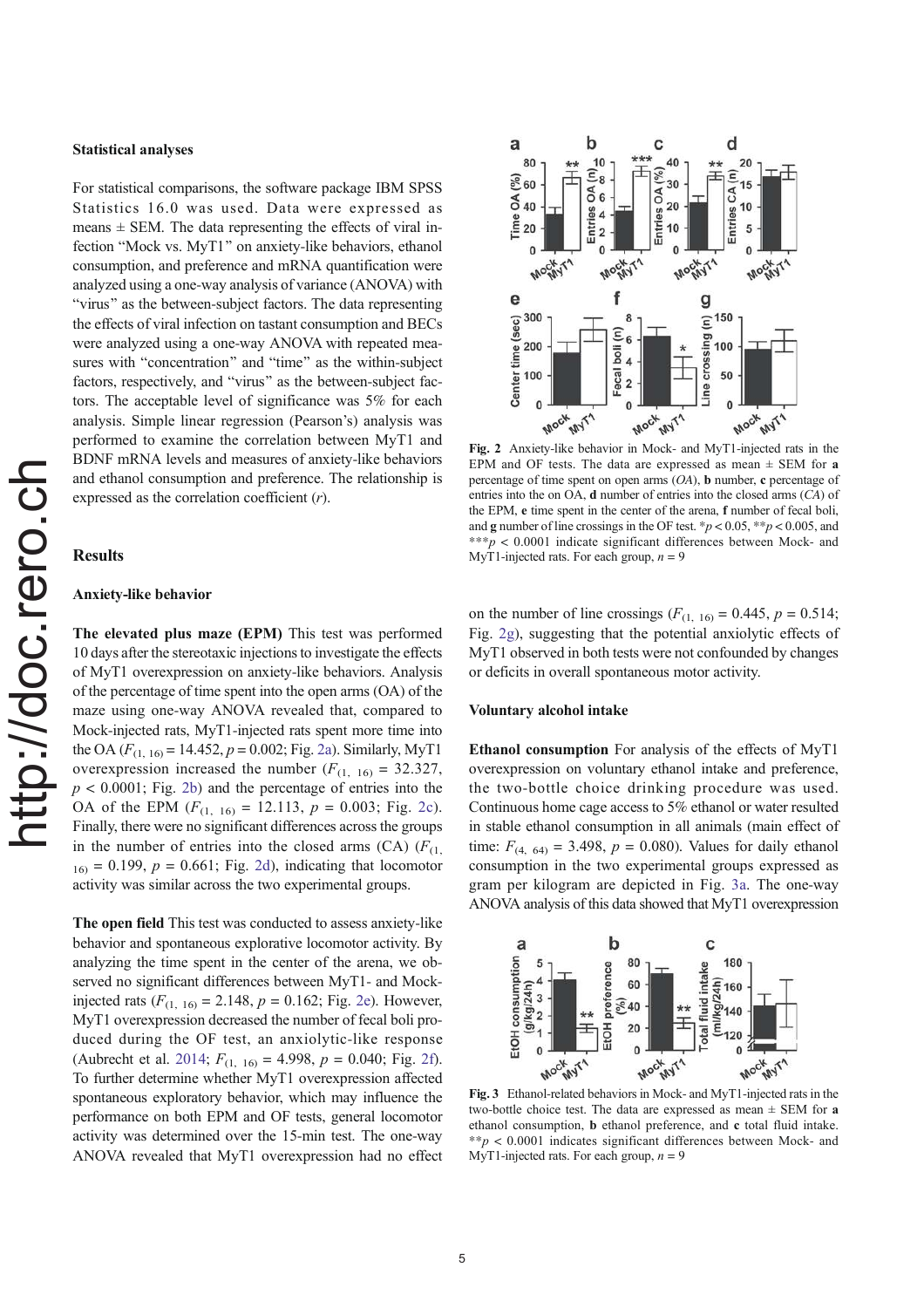## Statistical analyses

For statistical comparisons, the software package IBM SPSS Statistics 16.0 was used. Data were expressed as means  $\pm$  SEM. The data representing the effects of viral infection "Mock vs. MyT1" on anxiety-like behaviors, ethanol consumption, and preference and mRNA quantification were analyzed using a one-way analysis of variance (ANOVA) with "virus" as the between-subject factors. The data representing the effects of viral infection on tastant consumption and BECs were analyzed using a one-way ANOVA with repeated measures with "concentration" and "time" as the within-subject factors, respectively, and "virus" as the between-subject factors. The acceptable level of significance was 5% for each analysis. Simple linear regression (Pearson's) analysis was performed to examine the correlation between MyT1 and BDNF mRNA levels and measures of anxiety-like behaviors and ethanol consumption and preference. The relationship is expressed as the correlation coefficient (r).

# **Results**

## Anxiety-like behavior

The elevated plus maze (EPM) This test was performed 10 days after the stereotaxic injections to investigate the effects of MyT1 overexpression on anxiety-like behaviors. Analysis of the percentage of time spent into the open arms (OA) of the maze using one-way ANOVA revealed that, compared to Mock-injected rats, MyT1-injected rats spent more time into the OA ( $F_{(1, 16)} = 14.452$ ,  $p = 0.002$ ; Fig. 2a). Similarly, MyT1 overexpression increased the number  $(F_{(1, 16)} = 32.327,$  $p < 0.0001$ ; Fig. 2b) and the percentage of entries into the OA of the EPM  $(F_{(1, 16)} = 12.113, p = 0.003;$  Fig. 2c). Finally, there were no significant differences across the groups in the number of entries into the closed arms (CA)  $(F_{(1)})$  $16<sub>16</sub> = 0.199$ ,  $p = 0.661$ ; Fig. 2d), indicating that locomotor activity was similar across the two experimental groups.

The open field This test was conducted to assess anxiety-like behavior and spontaneous explorative locomotor activity. By analyzing the time spent in the center of the arena, we observed no significant differences between MyT1- and Mockinjected rats  $(F_{(1, 16)} = 2.148, p = 0.162;$  Fig. 2e). However, MyT1 overexpression decreased the number of fecal boli produced during the OF test, an anxiolytic-like response (Aubrecht et al. 2014;  $F_{(1, 16)} = 4.998$ ,  $p = 0.040$ ; Fig. 2f). To further determine whether MyT1 overexpression affected spontaneous exploratory behavior, which may influence the performance on both EPM and OF tests, general locomotor activity was determined over the 15-min test. The one-way ANOVA revealed that MyT1 overexpression had no effect



Fig. 2 Anxiety-like behavior in Mock- and MyT1-injected rats in the EPM and OF tests. The data are expressed as mean  $\pm$  SEM for a percentage of time spent on open arms (OA), b number, c percentage of entries into the on OA, d number of entries into the closed arms (CA) of the EPM, e time spent in the center of the arena, f number of fecal boli, and g number of line crossings in the OF test. \* $p < 0.05$ , \*\* $p < 0.005$ , and  $***p$  < 0.0001 indicate significant differences between Mock- and MyT1-injected rats. For each group,  $n = 9$ 

on the number of line crossings ( $F_{(1, 16)} = 0.445$ ,  $p = 0.514$ ; Fig. 2g), suggesting that the potential anxiolytic effects of MyT1 observed in both tests were not confounded by changes or deficits in overall spontaneous motor activity.

## Voluntary alcohol intake

Ethanol consumption For analysis of the effects of MyT1 overexpression on voluntary ethanol intake and preference, the two-bottle choice drinking procedure was used. Continuous home cage access to 5% ethanol or water resulted in stable ethanol consumption in all animals (main effect of time:  $F_{(4, 64)} = 3.498$ ,  $p = 0.080$ ). Values for daily ethanol consumption in the two experimental groups expressed as gram per kilogram are depicted in Fig. 3a. The one-way ANOVA analysis of this data showed that MyT1 overexpression



Fig. 3 Ethanol-related behaviors in Mock- and MyT1-injected rats in the two-bottle choice test. The data are expressed as mean  $\pm$  SEM for a ethanol consumption, b ethanol preference, and c total fluid intake.  $*p < 0.0001$  indicates significant differences between Mock- and MyT1-injected rats. For each group,  $n = 9$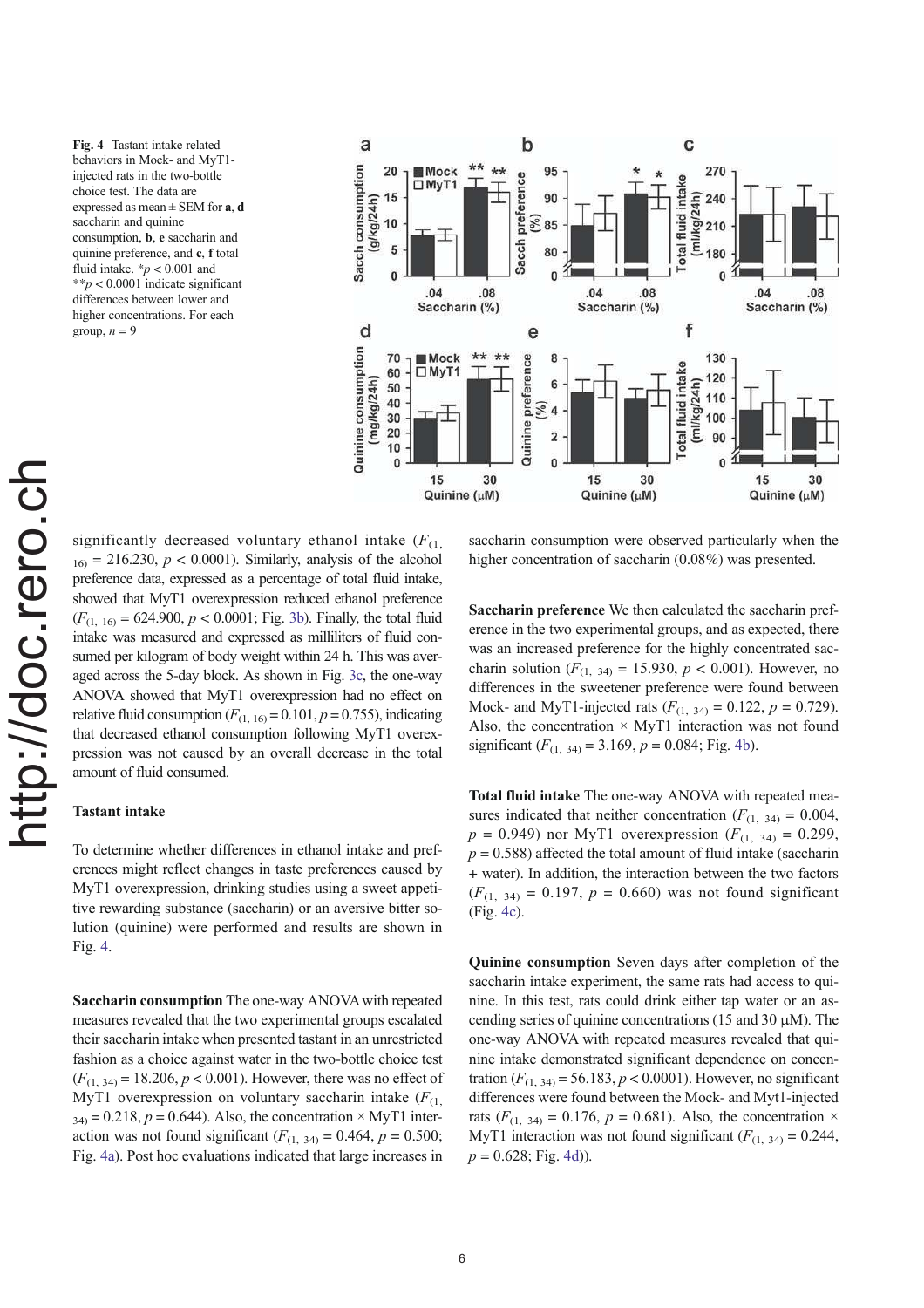Fig. 4 Tastant intake related behaviors in Mock- and MyT1 injected rats in the two-bottle choice test. The data are expressed as mean  $\pm$  SEM for **a**, **d** saccharin and quinine consumption, b, e saccharin and quinine preference, and c, f total fluid intake.  $p < 0.001$  and  $**p < 0.0001$  indicate significant differences between lower and higher concentrations. For each group,  $n = 9$ 



significantly decreased voluntary ethanol intake  $(F_{(1)})$  $_{16}$  = 216.230,  $p < 0.0001$ ). Similarly, analysis of the alcohol preference data, expressed as a percentage of total fluid intake, showed that MyT1 overexpression reduced ethanol preference  $(F_{(1, 16)} = 624.900, p < 0.0001$ ; Fig. 3b). Finally, the total fluid intake was measured and expressed as milliliters of fluid consumed per kilogram of body weight within 24 h. This was averaged across the 5-day block. As shown in Fig. 3c, the one-way ANOVA showed that MyT1 overexpression had no effect on relative fluid consumption  $(F_{(1, 16)} = 0.101, p = 0.755)$ , indicating that decreased ethanol consumption following MyT1 overexpression was not caused by an overall decrease in the total amount of fluid consumed.

#### Tastant intake

To determine whether differences in ethanol intake and preferences might reflect changes in taste preferences caused by MyT1 overexpression, drinking studies using a sweet appetitive rewarding substance (saccharin) or an aversive bitter solution (quinine) were performed and results are shown in Fig. 4.

Saccharin consumption The one-way ANOVA with repeated measures revealed that the two experimental groups escalated their saccharin intake when presented tastant in an unrestricted fashion as a choice against water in the two-bottle choice test  $(F_{(1, 34)} = 18.206, p < 0.001)$ . However, there was no effect of MyT1 overexpression on voluntary saccharin intake  $(F_{(1)})$  $34$ ) = 0.218, p = 0.644). Also, the concentration  $\times$  MyT1 interaction was not found significant  $(F_{(1, 34)} = 0.464, p = 0.500;$ Fig. 4a). Post hoc evaluations indicated that large increases in

saccharin consumption were observed particularly when the higher concentration of saccharin (0.08%) was presented.

Saccharin preference We then calculated the saccharin preference in the two experimental groups, and as expected, there was an increased preference for the highly concentrated saccharin solution ( $F_{(1, 34)} = 15.930$ ,  $p < 0.001$ ). However, no differences in the sweetener preference were found between Mock- and MyT1-injected rats  $(F_{(1, 34)} = 0.122, p = 0.729)$ . Also, the concentration  $\times$  MyT1 interaction was not found significant  $(F_{(1, 34)} = 3.169, p = 0.084;$  Fig. 4b).

Total fluid intake The one-way ANOVA with repeated measures indicated that neither concentration  $(F_{(1, 34)} = 0.004,$  $p = 0.949$ ) nor MyT1 overexpression ( $F_{(1, 34)} = 0.299$ ,  $p = 0.588$ ) affected the total amount of fluid intake (saccharin + water). In addition, the interaction between the two factors  $(F_{(1, 34)} = 0.197, p = 0.660)$  was not found significant (Fig. 4c).

Quinine consumption Seven days after completion of the saccharin intake experiment, the same rats had access to quinine. In this test, rats could drink either tap water or an ascending series of quinine concentrations (15 and 30 μM). The one-way ANOVA with repeated measures revealed that quinine intake demonstrated significant dependence on concentration  $(F_{(1, 34)} = 56.183, p < 0.0001)$ . However, no significant differences were found between the Mock- and Myt1-injected rats ( $F_{(1, 34)} = 0.176$ ,  $p = 0.681$ ). Also, the concentration  $\times$ MyT1 interaction was not found significant  $(F_{(1, 34)} = 0.244$ ,  $p = 0.628$ ; Fig. 4d)).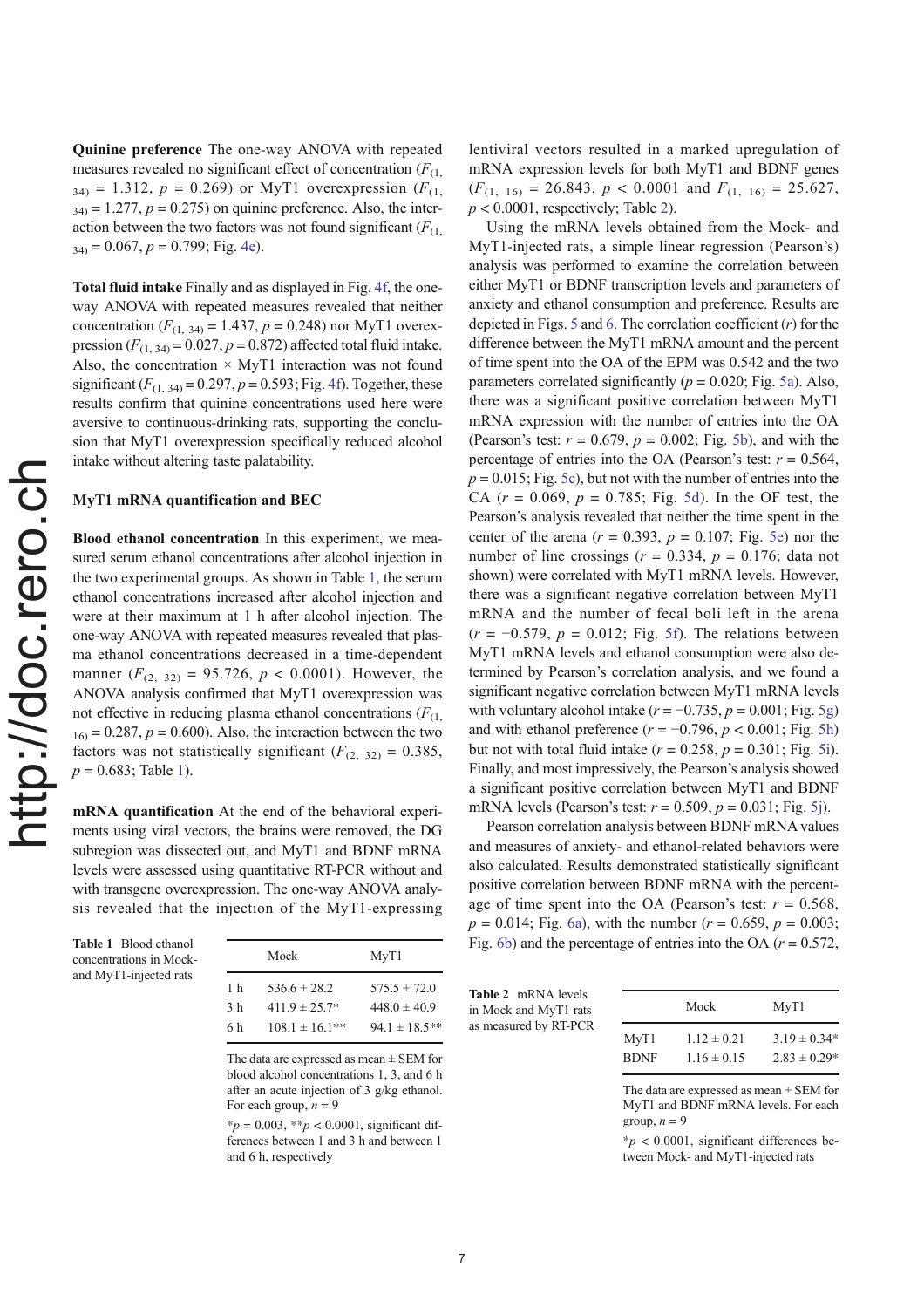Quinine preference The one-way ANOVA with repeated measures revealed no significant effect of concentration  $(F_{(1)})$  $34$ ) = 1.312, p = 0.269) or MyT1 overexpression ( $F_{(1)}$ )  $34<sub>34</sub> = 1.277, p = 0.275$  on quinine preference. Also, the interaction between the two factors was not found significant  $(F_{(1)})$  $34$ ) = 0.067, p = 0.799; Fig. 4e).

Total fluid intake Finally and as displayed in Fig. 4f, the oneway ANOVA with repeated measures revealed that neither concentration ( $F_{(1, 34)} = 1.437$ ,  $p = 0.248$ ) nor MyT1 overexpression  $(F_{(1, 34)} = 0.027, p = 0.872)$  affected total fluid intake. Also, the concentration  $\times$  MyT1 interaction was not found significant  $(F_{(1, 34)} = 0.297, p = 0.593; Fig. 4f)$ . Together, these results confirm that quinine concentrations used here were aversive to continuous-drinking rats, supporting the conclusion that MyT1 overexpression specifically reduced alcohol intake without altering taste palatability.

#### MyT1 mRNA quantification and BEC

Blood ethanol concentration In this experiment, we measured serum ethanol concentrations after alcohol injection in the two experimental groups. As shown in Table 1, the serum ethanol concentrations increased after alcohol injection and were at their maximum at 1 h after alcohol injection. The one-way ANOVA with repeated measures revealed that plasma ethanol concentrations decreased in a time-dependent manner  $(F<sub>(2, 32)</sub> = 95.726, p < 0.0001)$ . However, the ANOVA analysis confirmed that MyT1 overexpression was not effective in reducing plasma ethanol concentrations  $(F_{(1)})$  $16<sub>16</sub> = 0.287, p = 0.600$ . Also, the interaction between the two factors was not statistically significant ( $F_{(2, 32)} = 0.385$ ,  $p = 0.683$ ; Table 1).

mRNA quantification At the end of the behavioral experiments using viral vectors, the brains were removed, the DG subregion was dissected out, and MyT1 and BDNF mRNA levels were assessed using quantitative RT-PCR without and with transgene overexpression. The one-way ANOVA analysis revealed that the injection of the MyT1-expressing

| Table 1 Blood ethanol   |
|-------------------------|
| concentrations in Mock- |
| and MyT1-injected rats  |

|     | Mock               | MyT1               |
|-----|--------------------|--------------------|
| 1 h | $536.6 \pm 28.2$   | $575.5 \pm 72.0$   |
| 3 h | $411.9 \pm 25.7*$  | $448.0 \pm 40.9$   |
| 6 h | $108.1 \pm 16.1**$ | $94.1 \pm 18.5$ ** |

The data are expressed as mean ± SEM for blood alcohol concentrations 1, 3, and 6 h after an acute injection of 3 g/kg ethanol. For each group,  $n = 9$ 

 $*_{p} = 0.003$ ,  $*_{p} < 0.0001$ , significant differences between 1 and 3 h and between 1 and 6 h, respectively

lentiviral vectors resulted in a marked upregulation of mRNA expression levels for both MyT1 and BDNF genes  $(F_{(1, 16)} = 26.843, p < 0.0001$  and  $F_{(1, 16)} = 25.627$ ,  $p < 0.0001$ , respectively; Table 2).

Using the mRNA levels obtained from the Mock- and MyT1-injected rats, a simple linear regression (Pearson's) analysis was performed to examine the correlation between either MyT1 or BDNF transcription levels and parameters of anxiety and ethanol consumption and preference. Results are depicted in Figs. 5 and 6. The correlation coefficient  $(r)$  for the difference between the MyT1 mRNA amount and the percent of time spent into the OA of the EPM was 0.542 and the two parameters correlated significantly ( $p = 0.020$ ; Fig. 5a). Also, there was a significant positive correlation between MyT1 mRNA expression with the number of entries into the OA (Pearson's test:  $r = 0.679$ ,  $p = 0.002$ ; Fig. 5b), and with the percentage of entries into the OA (Pearson's test:  $r = 0.564$ ,  $p = 0.015$ ; Fig. 5c), but not with the number of entries into the CA  $(r = 0.069, p = 0.785; Fig. 5d)$ . In the OF test, the Pearson's analysis revealed that neither the time spent in the center of the arena  $(r = 0.393, p = 0.107;$  Fig. 5e) nor the number of line crossings ( $r = 0.334$ ,  $p = 0.176$ ; data not shown) were correlated with MyT1 mRNA levels. However, there was a significant negative correlation between MyT1 mRNA and the number of fecal boli left in the arena  $(r = -0.579, p = 0.012;$  Fig. 5f). The relations between MyT1 mRNA levels and ethanol consumption were also determined by Pearson's correlation analysis, and we found a significant negative correlation between MyT1 mRNA levels with voluntary alcohol intake ( $r = -0.735$ ,  $p = 0.001$ ; Fig. 5g) and with ethanol preference ( $r = -0.796$ ,  $p < 0.001$ ; Fig. 5h) but not with total fluid intake  $(r = 0.258, p = 0.301;$  Fig. 5i). Finally, and most impressively, the Pearson's analysis showed a significant positive correlation between MyT1 and BDNF mRNA levels (Pearson's test:  $r = 0.509$ ,  $p = 0.031$ ; Fig. 5j).

Pearson correlation analysis between BDNF mRNA values and measures of anxiety- and ethanol-related behaviors were also calculated. Results demonstrated statistically significant positive correlation between BDNF mRNA with the percentage of time spent into the OA (Pearson's test:  $r = 0.568$ ,  $p = 0.014$ ; Fig. 6a), with the number ( $r = 0.659$ ,  $p = 0.003$ ; Fig. 6b) and the percentage of entries into the OA ( $r = 0.572$ ,

| <b>Table 2 mRNA levels</b> |                       |
|----------------------------|-----------------------|
|                            | in Mock and MyT1 rats |
|                            | as measured by RT-PCR |

|                  | Mock            | MyT1             |
|------------------|-----------------|------------------|
| MyT <sub>1</sub> | $1.12 \pm 0.21$ | $3.19 \pm 0.34*$ |
| <b>BDNF</b>      | $1.16 \pm 0.15$ | $2.83 \pm 0.29*$ |

The data are expressed as mean  $\pm$  SEM for MyT1 and BDNF mRNA levels. For each group,  $n = 9$ 

 $*p$  < 0.0001, significant differences between Mock- and MyT1-injected rats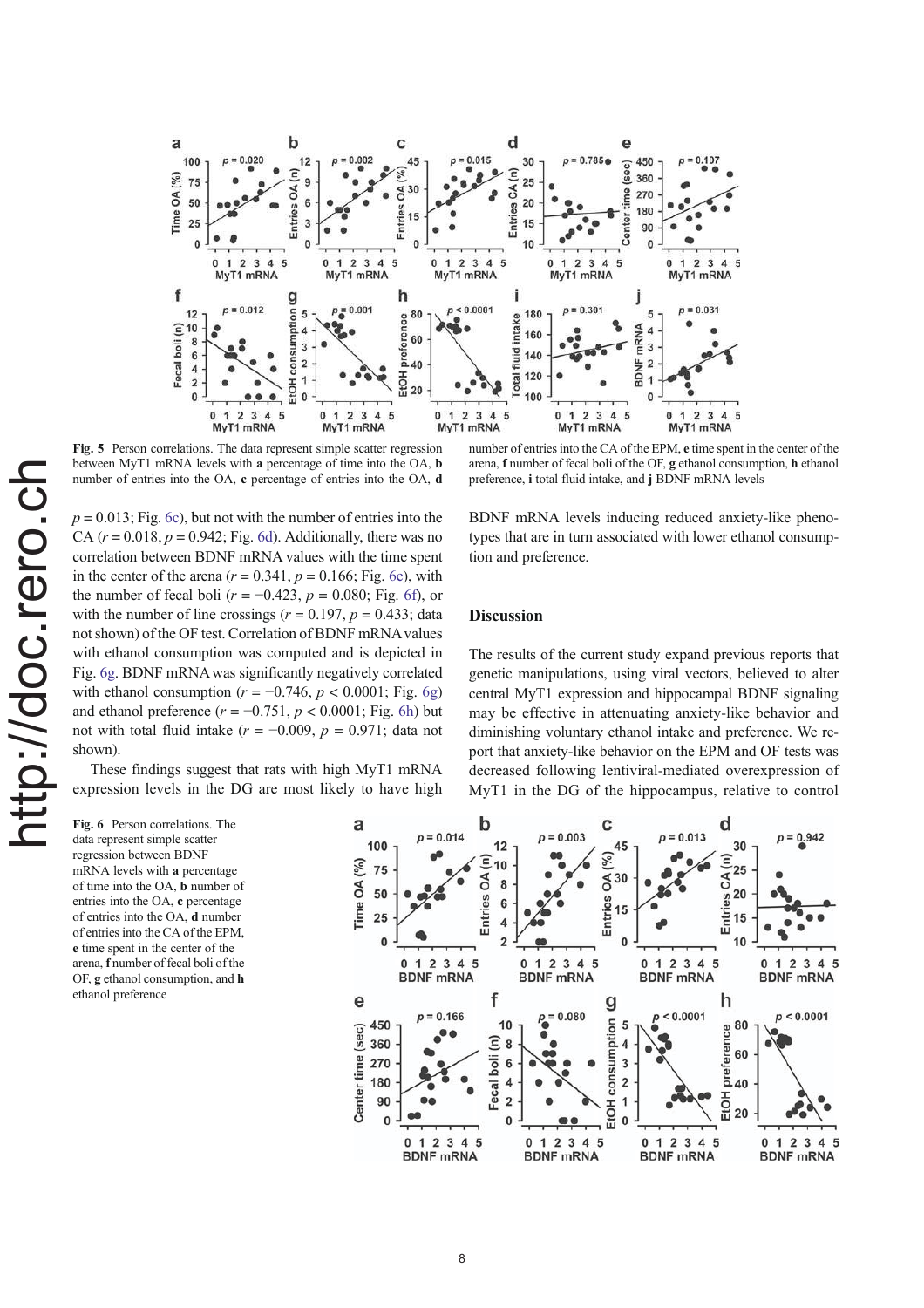

Fig. 5 Person correlations. The data represent simple scatter regression between MyT1 mRNA levels with a percentage of time into the OA, b number of entries into the OA, c percentage of entries into the OA, d

number of entries into the CA of the EPM, e time spent in the center of the arena, f number of fecal boli of the OF, g ethanol consumption, h ethanol preference, i total fluid intake, and j BDNF mRNA levels

 $p = 0.013$ ; Fig. 6c), but not with the number of entries into the CA  $(r = 0.018, p = 0.942$ ; Fig. 6d). Additionally, there was no correlation between BDNF mRNA values with the time spent in the center of the arena  $(r = 0.341, p = 0.166;$  Fig. 6e), with the number of fecal boli ( $r = -0.423$ ,  $p = 0.080$ ; Fig. 6f), or with the number of line crossings ( $r = 0.197$ ,  $p = 0.433$ ; data not shown) of the OF test. Correlation of BDNF mRNA values with ethanol consumption was computed and is depicted in Fig. 6g. BDNF mRNA was significantly negatively correlated with ethanol consumption ( $r = -0.746$ ,  $p < 0.0001$ ; Fig. 6g) and ethanol preference  $(r = -0.751, p < 0.0001;$  Fig. 6h) but not with total fluid intake ( $r = -0.009$ ,  $p = 0.971$ ; data not shown).

These findings suggest that rats with high MyT1 mRNA expression levels in the DG are most likely to have high BDNF mRNA levels inducing reduced anxiety-like phenotypes that are in turn associated with lower ethanol consumption and preference.

## **Discussion**

The results of the current study expand previous reports that genetic manipulations, using viral vectors, believed to alter central MyT1 expression and hippocampal BDNF signaling may be effective in attenuating anxiety-like behavior and diminishing voluntary ethanol intake and preference. We report that anxiety-like behavior on the EPM and OF tests was decreased following lentiviral-mediated overexpression of MyT1 in the DG of the hippocampus, relative to control

Fig. 6 Person correlations. The data represent simple scatter regression between BDNF mRNA levels with a percentage of time into the OA, b number of entries into the OA, c percentage of entries into the OA, d number of entries into the CA of the EPM, e time spent in the center of the arena, f number of fecal boli of the OF, g ethanol consumption, and h ethanol preference

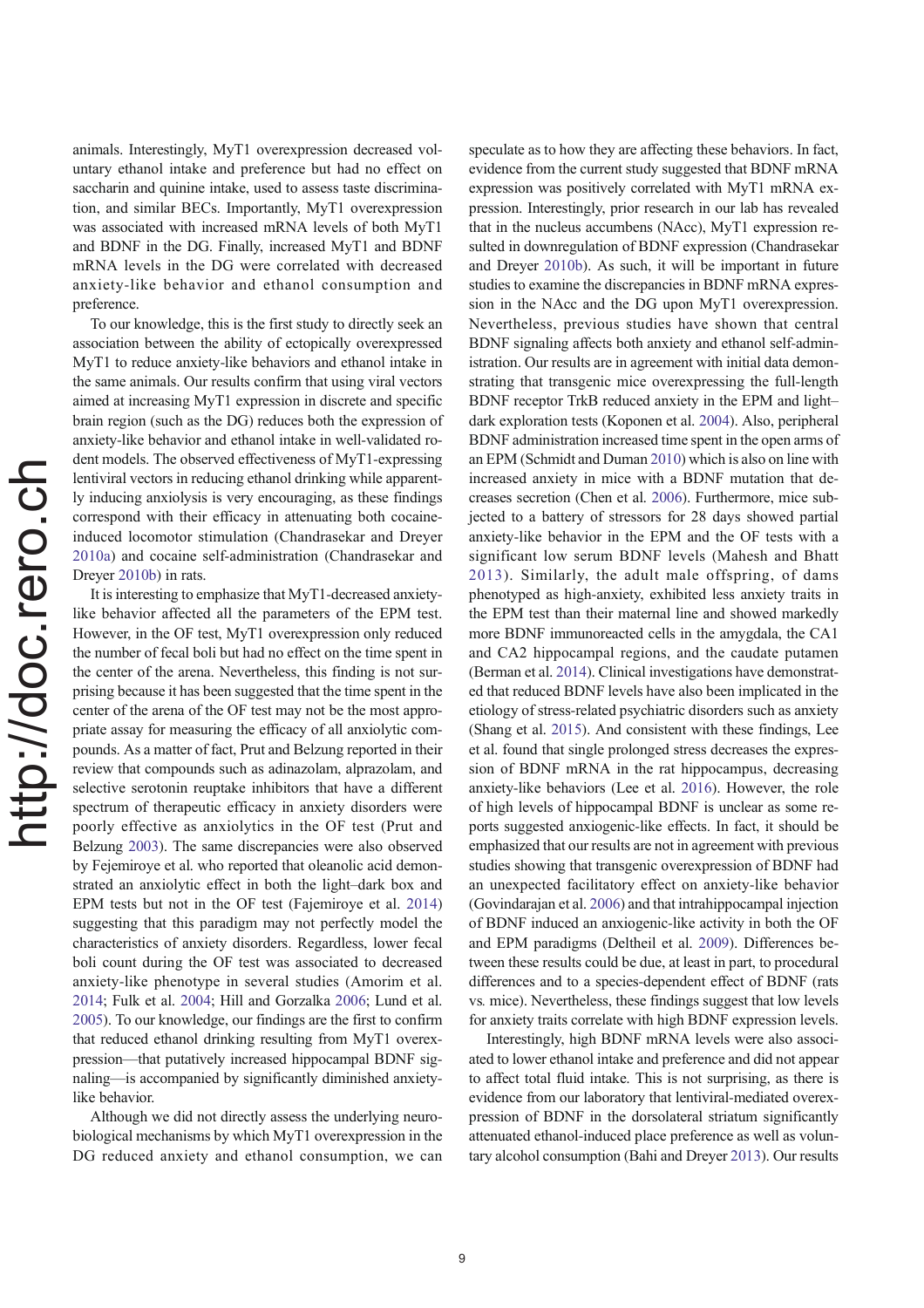animals. Interestingly, MyT1 overexpression decreased voluntary ethanol intake and preference but had no effect on saccharin and quinine intake, used to assess taste discrimination, and similar BECs. Importantly, MyT1 overexpression was associated with increased mRNA levels of both MyT1 and BDNF in the DG. Finally, increased MyT1 and BDNF mRNA levels in the DG were correlated with decreased anxiety-like behavior and ethanol consumption and preference.

To our knowledge, this is the first study to directly seek an association between the ability of ectopically overexpressed MyT1 to reduce anxiety-like behaviors and ethanol intake in the same animals. Our results confirm that using viral vectors aimed at increasing MyT1 expression in discrete and specific brain region (such as the DG) reduces both the expression of anxiety-like behavior and ethanol intake in well-validated rodent models. The observed effectiveness of MyT1-expressing lentiviral vectors in reducing ethanol drinking while apparently inducing anxiolysis is very encouraging, as these findings correspond with their efficacy in attenuating both cocaineinduced locomotor stimulation (Chandrasekar and Dreyer 2010a) and cocaine self-administration (Chandrasekar and Dreyer 2010b) in rats.

It is interesting to emphasize that MyT1-decreased anxietylike behavior affected all the parameters of the EPM test. However, in the OF test, MyT1 overexpression only reduced the number of fecal boli but had no effect on the time spent in the center of the arena. Nevertheless, this finding is not surprising because it has been suggested that the time spent in the center of the arena of the OF test may not be the most appropriate assay for measuring the efficacy of all anxiolytic compounds. As a matter of fact, Prut and Belzung reported in their review that compounds such as adinazolam, alprazolam, and selective serotonin reuptake inhibitors that have a different spectrum of therapeutic efficacy in anxiety disorders were poorly effective as anxiolytics in the OF test (Prut and Belzung 2003). The same discrepancies were also observed by Fejemiroye et al. who reported that oleanolic acid demonstrated an anxiolytic effect in both the light–dark box and EPM tests but not in the OF test (Fajemiroye et al. 2014) suggesting that this paradigm may not perfectly model the characteristics of anxiety disorders. Regardless, lower fecal boli count during the OF test was associated to decreased anxiety-like phenotype in several studies (Amorim et al. 2014; Fulk et al. 2004; Hill and Gorzalka 2006; Lund et al. 2005). To our knowledge, our findings are the first to confirm that reduced ethanol drinking resulting from MyT1 overexpression—that putatively increased hippocampal BDNF signaling—is accompanied by significantly diminished anxietylike behavior.

Although we did not directly assess the underlying neurobiological mechanisms by which MyT1 overexpression in the DG reduced anxiety and ethanol consumption, we can speculate as to how they are affecting these behaviors. In fact, evidence from the current study suggested that BDNF mRNA expression was positively correlated with MyT1 mRNA expression. Interestingly, prior research in our lab has revealed that in the nucleus accumbens (NAcc), MyT1 expression resulted in downregulation of BDNF expression (Chandrasekar and Dreyer 2010b). As such, it will be important in future studies to examine the discrepancies in BDNF mRNA expression in the NAcc and the DG upon MyT1 overexpression. Nevertheless, previous studies have shown that central BDNF signaling affects both anxiety and ethanol self-administration. Our results are in agreement with initial data demonstrating that transgenic mice overexpressing the full-length BDNF receptor TrkB reduced anxiety in the EPM and light– dark exploration tests (Koponen et al. 2004). Also, peripheral BDNF administration increased time spent in the open arms of an EPM (Schmidt and Duman 2010) which is also on line with increased anxiety in mice with a BDNF mutation that decreases secretion (Chen et al. 2006). Furthermore, mice subjected to a battery of stressors for 28 days showed partial anxiety-like behavior in the EPM and the OF tests with a significant low serum BDNF levels (Mahesh and Bhatt 2013). Similarly, the adult male offspring, of dams phenotyped as high-anxiety, exhibited less anxiety traits in the EPM test than their maternal line and showed markedly more BDNF immunoreacted cells in the amygdala, the CA1 and CA2 hippocampal regions, and the caudate putamen (Berman et al. 2014). Clinical investigations have demonstrated that reduced BDNF levels have also been implicated in the etiology of stress-related psychiatric disorders such as anxiety (Shang et al. 2015). And consistent with these findings, Lee et al. found that single prolonged stress decreases the expression of BDNF mRNA in the rat hippocampus, decreasing anxiety-like behaviors (Lee et al. 2016). However, the role of high levels of hippocampal BDNF is unclear as some reports suggested anxiogenic-like effects. In fact, it should be emphasized that our results are not in agreement with previous studies showing that transgenic overexpression of BDNF had an unexpected facilitatory effect on anxiety-like behavior (Govindarajan et al. 2006) and that intrahippocampal injection of BDNF induced an anxiogenic-like activity in both the OF and EPM paradigms (Deltheil et al. 2009). Differences between these results could be due, at least in part, to procedural differences and to a species-dependent effect of BDNF (rats vs. mice). Nevertheless, these findings suggest that low levels for anxiety traits correlate with high BDNF expression levels.

Interestingly, high BDNF mRNA levels were also associated to lower ethanol intake and preference and did not appear to affect total fluid intake. This is not surprising, as there is evidence from our laboratory that lentiviral-mediated overexpression of BDNF in the dorsolateral striatum significantly attenuated ethanol-induced place preference as well as voluntary alcohol consumption (Bahi and Dreyer 2013). Our results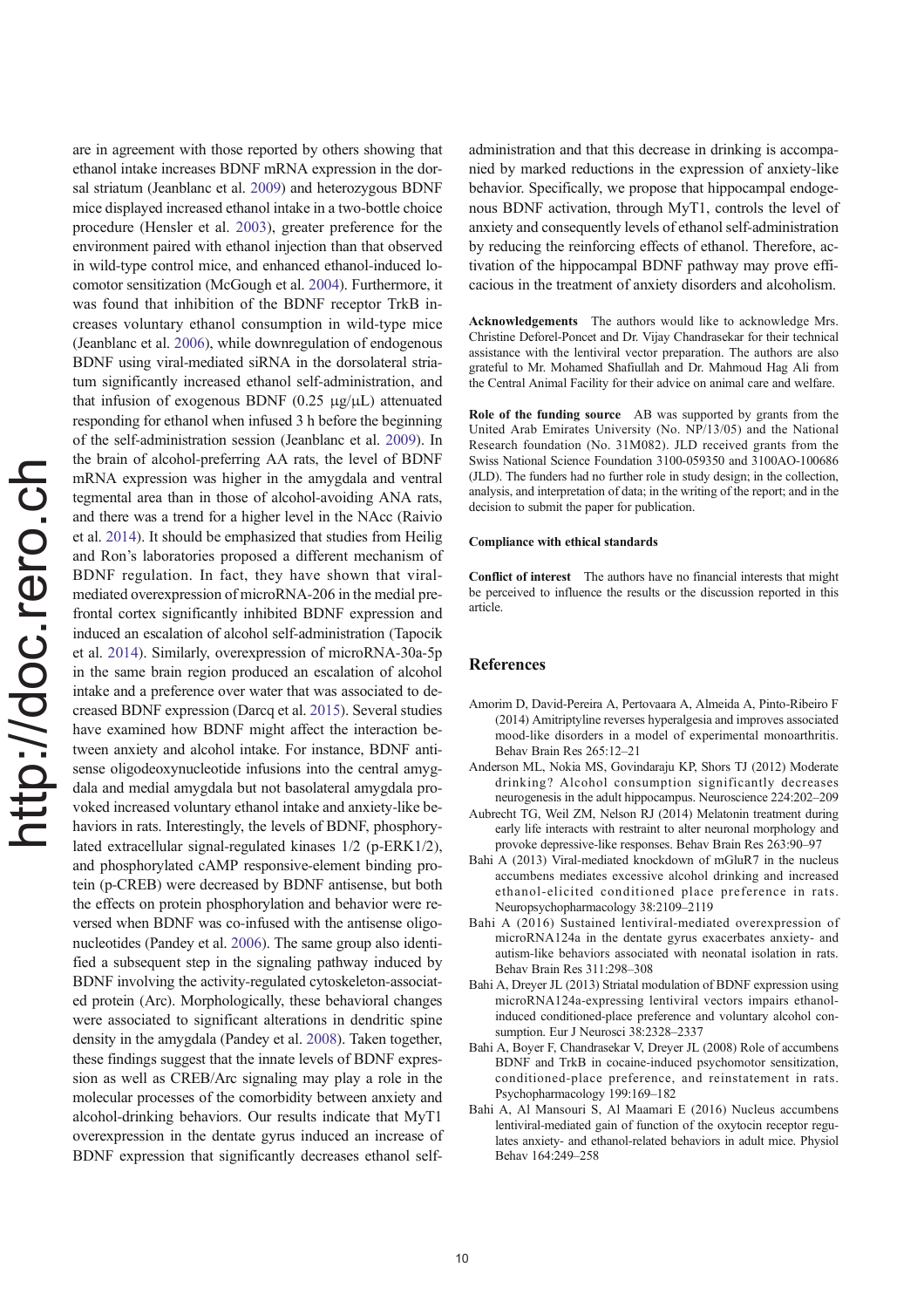are in agreement with those reported by others showing that ethanol intake increases BDNF mRNA expression in the dorsal striatum (Jeanblanc et al. 2009) and heterozygous BDNF mice displayed increased ethanol intake in a two-bottle choice procedure (Hensler et al. 2003), greater preference for the environment paired with ethanol injection than that observed in wild-type control mice, and enhanced ethanol-induced locomotor sensitization (McGough et al. 2004). Furthermore, it was found that inhibition of the BDNF receptor TrkB increases voluntary ethanol consumption in wild-type mice (Jeanblanc et al. 2006), while downregulation of endogenous BDNF using viral-mediated siRNA in the dorsolateral striatum significantly increased ethanol self-administration, and that infusion of exogenous BDNF  $(0.25 \mu g/\mu L)$  attenuated responding for ethanol when infused 3 h before the beginning of the self-administration session (Jeanblanc et al. 2009). In the brain of alcohol-preferring AA rats, the level of BDNF mRNA expression was higher in the amygdala and ventral tegmental area than in those of alcohol-avoiding ANA rats, and there was a trend for a higher level in the NAcc (Raivio et al. 2014). It should be emphasized that studies from Heilig and Ron's laboratories proposed a different mechanism of BDNF regulation. In fact, they have shown that viralmediated overexpression of microRNA-206 in the medial prefrontal cortex significantly inhibited BDNF expression and induced an escalation of alcohol self-administration (Tapocik et al. 2014). Similarly, overexpression of microRNA-30a-5p in the same brain region produced an escalation of alcohol intake and a preference over water that was associated to decreased BDNF expression (Darcq et al. 2015). Several studies have examined how BDNF might affect the interaction between anxiety and alcohol intake. For instance, BDNF antisense oligodeoxynucleotide infusions into the central amygdala and medial amygdala but not basolateral amygdala provoked increased voluntary ethanol intake and anxiety-like behaviors in rats. Interestingly, the levels of BDNF, phosphorylated extracellular signal-regulated kinases 1/2 (p-ERK1/2), and phosphorylated cAMP responsive-element binding protein (p-CREB) were decreased by BDNF antisense, but both the effects on protein phosphorylation and behavior were reversed when BDNF was co-infused with the antisense oligonucleotides (Pandey et al. 2006). The same group also identified a subsequent step in the signaling pathway induced by BDNF involving the activity-regulated cytoskeleton-associated protein (Arc). Morphologically, these behavioral changes were associated to significant alterations in dendritic spine density in the amygdala (Pandey et al. 2008). Taken together, these findings suggest that the innate levels of BDNF expression as well as CREB/Arc signaling may play a role in the molecular processes of the comorbidity between anxiety and alcohol-drinking behaviors. Our results indicate that MyT1 overexpression in the dentate gyrus induced an increase of BDNF expression that significantly decreases ethanol selfadministration and that this decrease in drinking is accompanied by marked reductions in the expression of anxiety-like behavior. Specifically, we propose that hippocampal endogenous BDNF activation, through MyT1, controls the level of anxiety and consequently levels of ethanol self-administration by reducing the reinforcing effects of ethanol. Therefore, activation of the hippocampal BDNF pathway may prove efficacious in the treatment of anxiety disorders and alcoholism.

Acknowledgements The authors would like to acknowledge Mrs. Christine Deforel-Poncet and Dr. Vijay Chandrasekar for their technical assistance with the lentiviral vector preparation. The authors are also grateful to Mr. Mohamed Shafiullah and Dr. Mahmoud Hag Ali from the Central Animal Facility for their advice on animal care and welfare.

Role of the funding source AB was supported by grants from the United Arab Emirates University (No. NP/13/05) and the National Research foundation (No. 31M082). JLD received grants from the Swiss National Science Foundation 3100-059350 and 3100AO-100686 (JLD). The funders had no further role in study design; in the collection, analysis, and interpretation of data; in the writing of the report; and in the decision to submit the paper for publication.

#### Compliance with ethical standards

Conflict of interest The authors have no financial interests that might be perceived to influence the results or the discussion reported in this article.

## References

- Amorim D, David-Pereira A, Pertovaara A, Almeida A, Pinto-Ribeiro F (2014) Amitriptyline reverses hyperalgesia and improves associated mood-like disorders in a model of experimental monoarthritis. Behav Brain Res 265:12–21
- Anderson ML, Nokia MS, Govindaraju KP, Shors TJ (2012) Moderate drinking? Alcohol consumption significantly decreases neurogenesis in the adult hippocampus. Neuroscience 224:202–209
- Aubrecht TG, Weil ZM, Nelson RJ (2014) Melatonin treatment during early life interacts with restraint to alter neuronal morphology and provoke depressive-like responses. Behav Brain Res 263:90–97
- Bahi A (2013) Viral-mediated knockdown of mGluR7 in the nucleus accumbens mediates excessive alcohol drinking and increased ethanol-elicited conditioned place preference in rats. Neuropsychopharmacology 38:2109–2119
- Bahi A (2016) Sustained lentiviral-mediated overexpression of microRNA124a in the dentate gyrus exacerbates anxiety- and autism-like behaviors associated with neonatal isolation in rats. Behav Brain Res 311:298–308
- Bahi A, Dreyer JL (2013) Striatal modulation of BDNF expression using microRNA124a-expressing lentiviral vectors impairs ethanolinduced conditioned-place preference and voluntary alcohol consumption. Eur J Neurosci 38:2328–2337
- Bahi A, Boyer F, Chandrasekar V, Dreyer JL (2008) Role of accumbens BDNF and TrkB in cocaine-induced psychomotor sensitization, conditioned-place preference, and reinstatement in rats. Psychopharmacology 199:169–182
- Bahi A, Al Mansouri S, Al Maamari E (2016) Nucleus accumbens lentiviral-mediated gain of function of the oxytocin receptor regulates anxiety- and ethanol-related behaviors in adult mice. Physiol Behav 164:249–258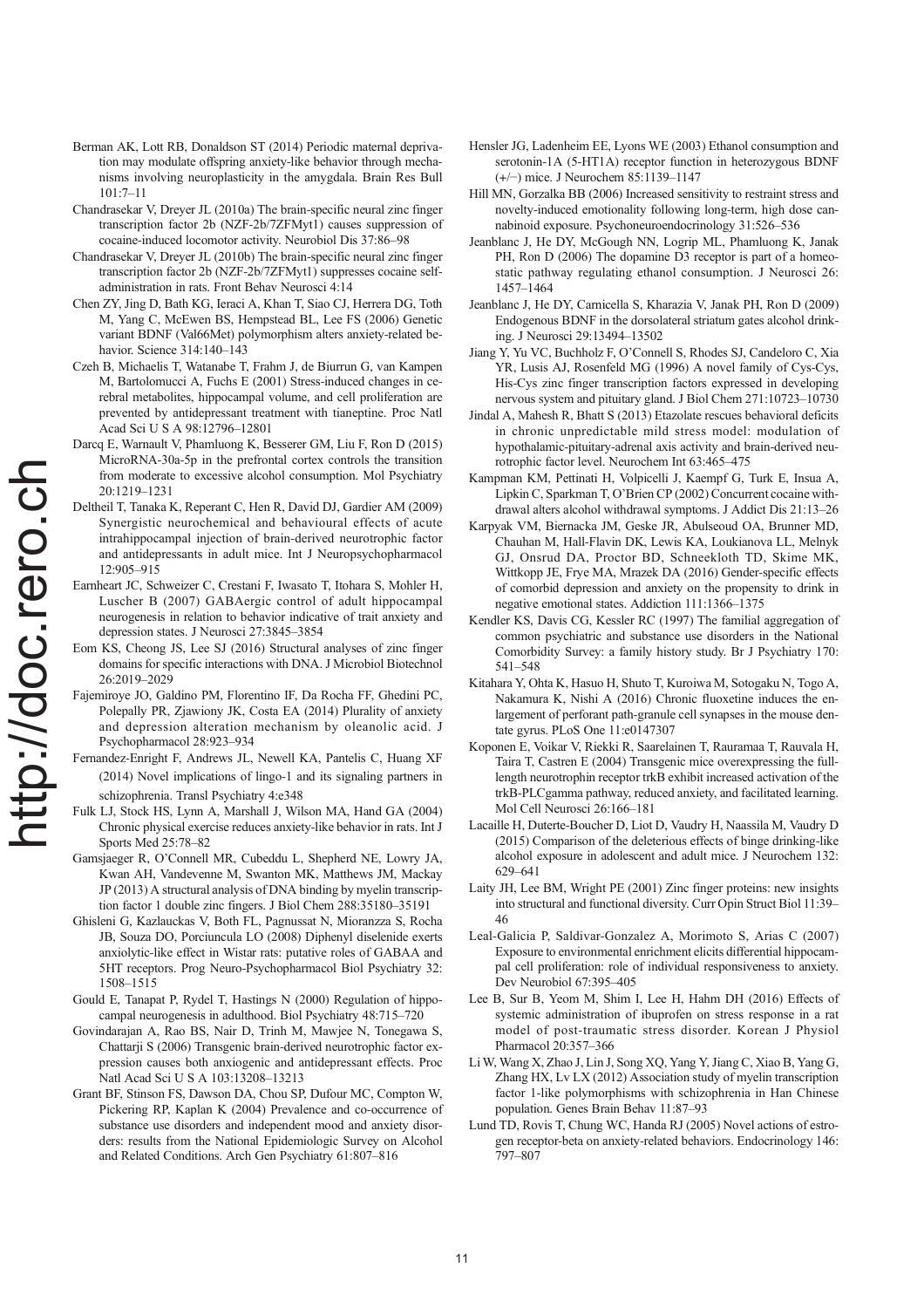- Berman AK, Lott RB, Donaldson ST (2014) Periodic maternal deprivation may modulate offspring anxiety-like behavior through mechanisms involving neuroplasticity in the amygdala. Brain Res Bull 101:7–11
- Chandrasekar V, Dreyer JL (2010a) The brain-specific neural zinc finger transcription factor 2b (NZF-2b/7ZFMyt1) causes suppression of cocaine-induced locomotor activity. Neurobiol Dis 37:86–98
- Chandrasekar V, Dreyer JL (2010b) The brain-specific neural zinc finger transcription factor 2b (NZF-2b/7ZFMyt1) suppresses cocaine selfadministration in rats. Front Behav Neurosci 4:14
- Chen ZY, Jing D, Bath KG, Ieraci A, Khan T, Siao CJ, Herrera DG, Toth M, Yang C, McEwen BS, Hempstead BL, Lee FS (2006) Genetic variant BDNF (Val66Met) polymorphism alters anxiety-related behavior. Science 314:140–143
- Czeh B, Michaelis T, Watanabe T, Frahm J, de Biurrun G, van Kampen M, Bartolomucci A, Fuchs E (2001) Stress-induced changes in cerebral metabolites, hippocampal volume, and cell proliferation are prevented by antidepressant treatment with tianeptine. Proc Natl Acad Sci U S A 98:12796–12801
- Darcq E, Warnault V, Phamluong K, Besserer GM, Liu F, Ron D (2015) MicroRNA-30a-5p in the prefrontal cortex controls the transition from moderate to excessive alcohol consumption. Mol Psychiatry 20:1219–1231
- Deltheil T, Tanaka K, Reperant C, Hen R, David DJ, Gardier AM (2009) Synergistic neurochemical and behavioural effects of acute intrahippocampal injection of brain-derived neurotrophic factor and antidepressants in adult mice. Int J Neuropsychopharmacol 12:905–915
- Earnheart JC, Schweizer C, Crestani F, Iwasato T, Itohara S, Mohler H, Luscher B (2007) GABAergic control of adult hippocampal neurogenesis in relation to behavior indicative of trait anxiety and depression states. J Neurosci 27:3845–3854
- Eom KS, Cheong JS, Lee SJ (2016) Structural analyses of zinc finger domains for specific interactions with DNA. J Microbiol Biotechnol 26:2019–2029
- Fajemiroye JO, Galdino PM, Florentino IF, Da Rocha FF, Ghedini PC, Polepally PR, Zjawiony JK, Costa EA (2014) Plurality of anxiety and depression alteration mechanism by oleanolic acid. J Psychopharmacol 28:923–934
- Fernandez-Enright F, Andrews JL, Newell KA, Pantelis C, Huang XF (2014) Novel implications of lingo-1 and its signaling partners in schizophrenia. Transl Psychiatry 4:e348
- Fulk LJ, Stock HS, Lynn A, Marshall J, Wilson MA, Hand GA (2004) Chronic physical exercise reduces anxiety-like behavior in rats. Int J Sports Med 25:78–82
- Gamsjaeger R, O'Connell MR, Cubeddu L, Shepherd NE, Lowry JA, Kwan AH, Vandevenne M, Swanton MK, Matthews JM, Mackay JP (2013) A structural analysis of DNA binding by myelin transcription factor 1 double zinc fingers. J Biol Chem 288:35180–35191
- Ghisleni G, Kazlauckas V, Both FL, Pagnussat N, Mioranzza S, Rocha JB, Souza DO, Porciuncula LO (2008) Diphenyl diselenide exerts anxiolytic-like effect in Wistar rats: putative roles of GABAA and 5HT receptors. Prog Neuro-Psychopharmacol Biol Psychiatry 32: 1508–1515
- Gould E, Tanapat P, Rydel T, Hastings N (2000) Regulation of hippocampal neurogenesis in adulthood. Biol Psychiatry 48:715–720
- Govindarajan A, Rao BS, Nair D, Trinh M, Mawjee N, Tonegawa S, Chattarii S (2006) Transgenic brain-derived neurotrophic factor expression causes both anxiogenic and antidepressant effects. Proc Natl Acad Sci U S A 103:13208–13213
- Grant BF, Stinson FS, Dawson DA, Chou SP, Dufour MC, Compton W, Pickering RP, Kaplan K (2004) Prevalence and co-occurrence of substance use disorders and independent mood and anxiety disorders: results from the National Epidemiologic Survey on Alcohol and Related Conditions. Arch Gen Psychiatry 61:807–816
- Hensler JG, Ladenheim EE, Lyons WE (2003) Ethanol consumption and serotonin-1A (5-HT1A) receptor function in heterozygous BDNF (+/−) mice. J Neurochem 85:1139–1147
- Hill MN, Gorzalka BB (2006) Increased sensitivity to restraint stress and novelty-induced emotionality following long-term, high dose cannabinoid exposure. Psychoneuroendocrinology 31:526–536
- Jeanblanc J, He DY, McGough NN, Logrip ML, Phamluong K, Janak PH, Ron D (2006) The dopamine D3 receptor is part of a homeostatic pathway regulating ethanol consumption. J Neurosci 26: 1457–1464
- Jeanblanc J, He DY, Carnicella S, Kharazia V, Janak PH, Ron D (2009) Endogenous BDNF in the dorsolateral striatum gates alcohol drinking. J Neurosci 29:13494–13502
- Jiang Y, Yu VC, Buchholz F, O'Connell S, Rhodes SJ, Candeloro C, Xia YR, Lusis AJ, Rosenfeld MG (1996) A novel family of Cys-Cys, His-Cys zinc finger transcription factors expressed in developing nervous system and pituitary gland. J Biol Chem 271:10723–10730
- Jindal A, Mahesh R, Bhatt S (2013) Etazolate rescues behavioral deficits in chronic unpredictable mild stress model: modulation of hypothalamic-pituitary-adrenal axis activity and brain-derived neurotrophic factor level. Neurochem Int 63:465–475
- Kampman KM, Pettinati H, Volpicelli J, Kaempf G, Turk E, Insua A, Lipkin C, Sparkman T, O'Brien CP (2002) Concurrent cocaine withdrawal alters alcohol withdrawal symptoms. J Addict Dis 21:13–26
- Karpyak VM, Biernacka JM, Geske JR, Abulseoud OA, Brunner MD, Chauhan M, Hall-Flavin DK, Lewis KA, Loukianova LL, Melnyk GJ, Onsrud DA, Proctor BD, Schneekloth TD, Skime MK, Wittkopp JE, Frye MA, Mrazek DA (2016) Gender-specific effects of comorbid depression and anxiety on the propensity to drink in negative emotional states. Addiction 111:1366–1375
- Kendler KS, Davis CG, Kessler RC (1997) The familial aggregation of common psychiatric and substance use disorders in the National Comorbidity Survey: a family history study. Br J Psychiatry 170: 541–548
- Kitahara Y, Ohta K, Hasuo H, Shuto T, Kuroiwa M, Sotogaku N, Togo A, Nakamura K, Nishi A (2016) Chronic fluoxetine induces the enlargement of perforant path-granule cell synapses in the mouse dentate gyrus. PLoS One 11:e0147307
- Koponen E, Voikar V, Riekki R, Saarelainen T, Rauramaa T, Rauvala H, Taira T, Castren E (2004) Transgenic mice overexpressing the fulllength neurotrophin receptor trkB exhibit increased activation of the trkB-PLCgamma pathway, reduced anxiety, and facilitated learning. Mol Cell Neurosci 26:166–181
- Lacaille H, Duterte-Boucher D, Liot D, Vaudry H, Naassila M, Vaudry D (2015) Comparison of the deleterious effects of binge drinking-like alcohol exposure in adolescent and adult mice. J Neurochem 132: 629–641
- Laity JH, Lee BM, Wright PE (2001) Zinc finger proteins: new insights into structural and functional diversity. Curr Opin Struct Biol 11:39– 46
- Leal-Galicia P, Saldivar-Gonzalez A, Morimoto S, Arias C (2007) Exposure to environmental enrichment elicits differential hippocampal cell proliferation: role of individual responsiveness to anxiety. Dev Neurobiol 67:395–405
- Lee B, Sur B, Yeom M, Shim I, Lee H, Hahm DH (2016) Effects of systemic administration of ibuprofen on stress response in a rat model of post-traumatic stress disorder. Korean J Physiol Pharmacol 20:357–366
- Li W, Wang X, Zhao J, Lin J, Song XQ, Yang Y, Jiang C, Xiao B, Yang G, Zhang HX, Lv LX (2012) Association study of myelin transcription factor 1-like polymorphisms with schizophrenia in Han Chinese population. Genes Brain Behav 11:87–93
- Lund TD, Rovis T, Chung WC, Handa RJ (2005) Novel actions of estrogen receptor-beta on anxiety-related behaviors. Endocrinology 146: 797–807